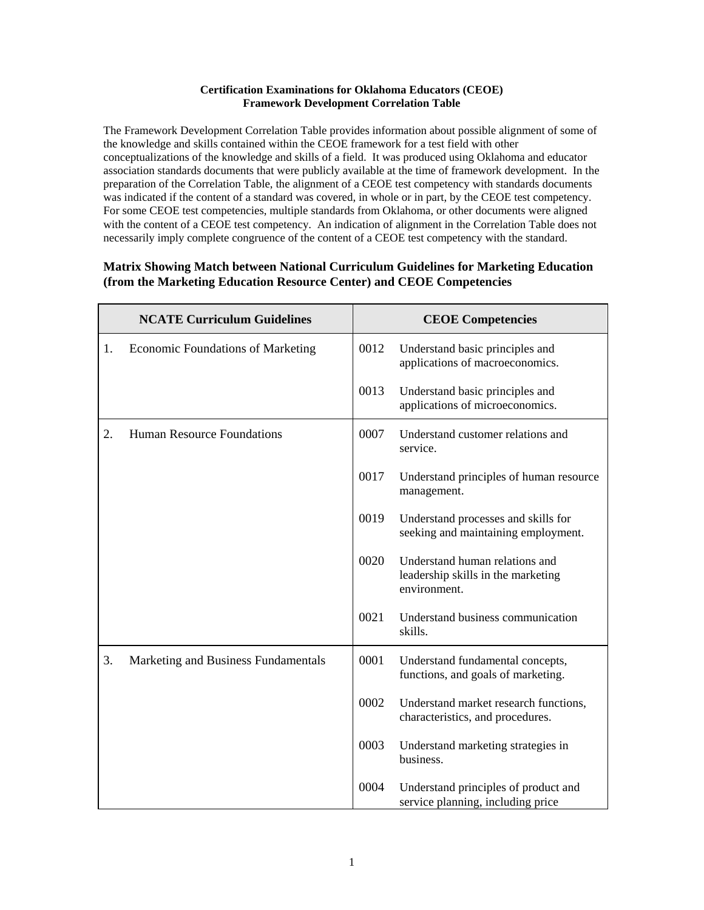## **Certification Examinations for Oklahoma Educators (CEOE) Framework Development Correlation Table**

The Framework Development Correlation Table provides information about possible alignment of some of the knowledge and skills contained within the CEOE framework for a test field with other conceptualizations of the knowledge and skills of a field. It was produced using Oklahoma and educator association standards documents that were publicly available at the time of framework development. In the preparation of the Correlation Table, the alignment of a CEOE test competency with standards documents was indicated if the content of a standard was covered, in whole or in part, by the CEOE test competency. For some CEOE test competencies, multiple standards from Oklahoma, or other documents were aligned with the content of a CEOE test competency. An indication of alignment in the Correlation Table does not necessarily imply complete congruence of the content of a CEOE test competency with the standard.

## **Matrix Showing Match between National Curriculum Guidelines for Marketing Education (from the Marketing Education Resource Center) and CEOE Competencies**

| <b>NCATE Curriculum Guidelines</b> |                                          | <b>CEOE Competencies</b> |                                                                                      |
|------------------------------------|------------------------------------------|--------------------------|--------------------------------------------------------------------------------------|
| 1.                                 | <b>Economic Foundations of Marketing</b> | 0012                     | Understand basic principles and<br>applications of macroeconomics.                   |
|                                    |                                          | 0013                     | Understand basic principles and<br>applications of microeconomics.                   |
| 2.                                 | <b>Human Resource Foundations</b>        | 0007                     | Understand customer relations and<br>service.                                        |
|                                    |                                          | 0017                     | Understand principles of human resource<br>management.                               |
|                                    |                                          | 0019                     | Understand processes and skills for<br>seeking and maintaining employment.           |
|                                    |                                          | 0020                     | Understand human relations and<br>leadership skills in the marketing<br>environment. |
|                                    |                                          | 0021                     | Understand business communication<br>skills.                                         |
| 3.                                 | Marketing and Business Fundamentals      | 0001                     | Understand fundamental concepts,<br>functions, and goals of marketing.               |
|                                    |                                          | 0002                     | Understand market research functions,<br>characteristics, and procedures.            |
|                                    |                                          | 0003                     | Understand marketing strategies in<br>business.                                      |
|                                    |                                          | 0004                     | Understand principles of product and<br>service planning, including price            |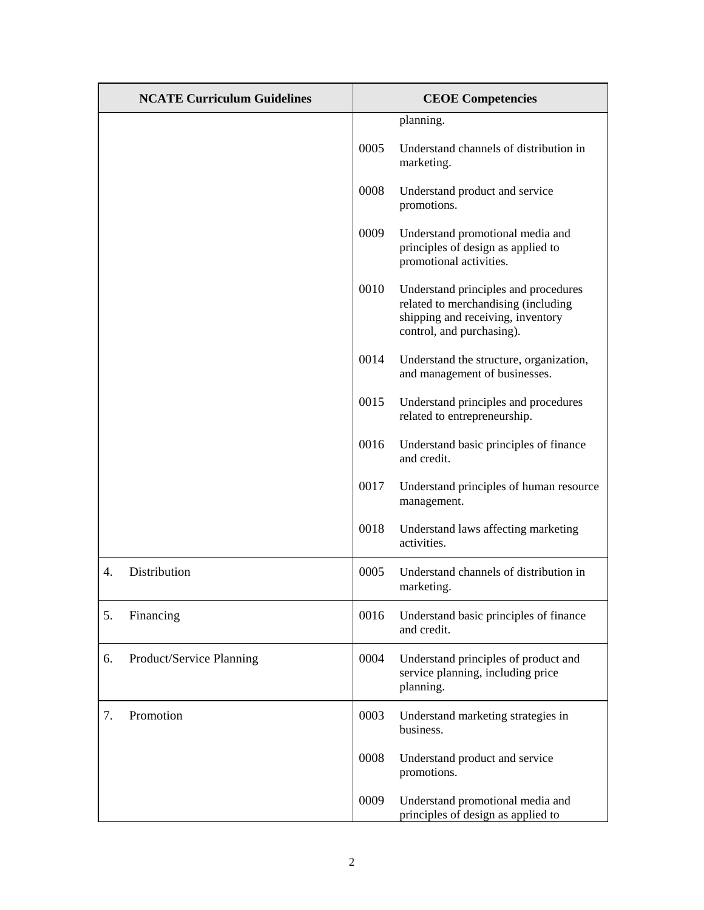|    | <b>NCATE Curriculum Guidelines</b> |      | <b>CEOE</b> Competencies                                                                                                                      |  |
|----|------------------------------------|------|-----------------------------------------------------------------------------------------------------------------------------------------------|--|
|    |                                    |      | planning.                                                                                                                                     |  |
|    |                                    | 0005 | Understand channels of distribution in<br>marketing.                                                                                          |  |
|    |                                    | 0008 | Understand product and service<br>promotions.                                                                                                 |  |
|    |                                    | 0009 | Understand promotional media and<br>principles of design as applied to<br>promotional activities.                                             |  |
|    |                                    | 0010 | Understand principles and procedures<br>related to merchandising (including<br>shipping and receiving, inventory<br>control, and purchasing). |  |
|    |                                    | 0014 | Understand the structure, organization,<br>and management of businesses.                                                                      |  |
|    |                                    | 0015 | Understand principles and procedures<br>related to entrepreneurship.                                                                          |  |
|    |                                    | 0016 | Understand basic principles of finance<br>and credit.                                                                                         |  |
|    |                                    | 0017 | Understand principles of human resource<br>management.                                                                                        |  |
|    |                                    | 0018 | Understand laws affecting marketing<br>activities.                                                                                            |  |
| 4. | Distribution                       | 0005 | Understand channels of distribution in<br>marketing.                                                                                          |  |
| 5. | Financing                          | 0016 | Understand basic principles of finance<br>and credit.                                                                                         |  |
| 6. | Product/Service Planning           | 0004 | Understand principles of product and<br>service planning, including price<br>planning.                                                        |  |
| 7. | Promotion                          | 0003 | Understand marketing strategies in<br>business.                                                                                               |  |
|    |                                    | 0008 | Understand product and service<br>promotions.                                                                                                 |  |
|    |                                    | 0009 | Understand promotional media and<br>principles of design as applied to                                                                        |  |